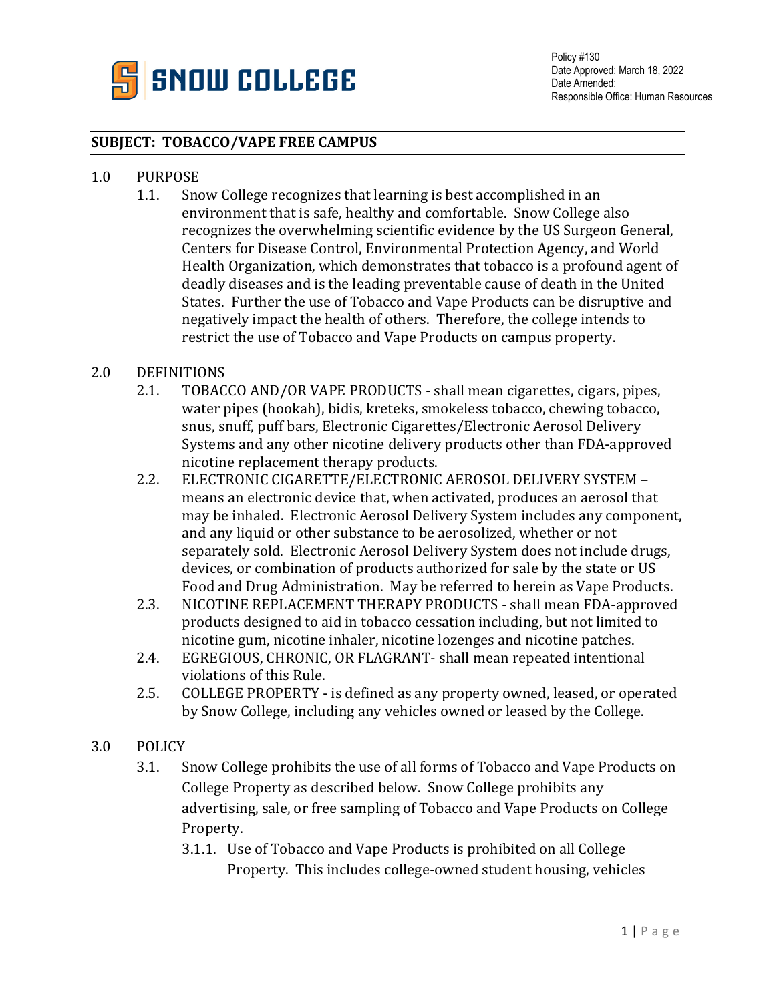

## **SUBJECT: TOBACCO/VAPE FREE CAMPUS**

## 1.0 PURPOSE<br>1.1. Sno

Snow College recognizes that learning is best accomplished in an environment that is safe, healthy and comfortable. Snow College also recognizes the overwhelming scientific evidence by the US Surgeon General, Centers for Disease Control, Environmental Protection Agency, and World Health Organization, which demonstrates that tobacco is a profound agent of deadly diseases and is the leading preventable cause of death in the United States. Further the use of Tobacco and Vape Products can be disruptive and negatively impact the health of others. Therefore, the college intends to restrict the use of Tobacco and Vape Products on campus property.

## 2.0 DEFINITIONS<br>2.1. TOBAC

- 2.1. TOBACCO AND/OR VAPE PRODUCTS shall mean cigarettes, cigars, pipes, water pipes (hookah), bidis, kreteks, smokeless tobacco, chewing tobacco, snus, snuff, puff bars, Electronic Cigarettes/Electronic Aerosol Delivery Systems and any other nicotine delivery products other than FDA-approved nicotine replacement therapy products.
- 2.2. ELECTRONIC CIGARETTE/ELECTRONIC AEROSOL DELIVERY SYSTEM means an electronic device that, when activated, produces an aerosol that may be inhaled. Electronic Aerosol Delivery System includes any component, and any liquid or other substance to be aerosolized, whether or not separately sold. Electronic Aerosol Delivery System does not include drugs, devices, or combination of products authorized for sale by the state or US Food and Drug Administration. May be referred to herein as Vape Products.
- 2.3. NICOTINE REPLACEMENT THERAPY PRODUCTS shall mean FDA-approved products designed to aid in tobacco cessation including, but not limited to nicotine gum, nicotine inhaler, nicotine lozenges and nicotine patches.
- 2.4. EGREGIOUS, CHRONIC, OR FLAGRANT- shall mean repeated intentional violations of this Rule.
- 2.5. COLLEGE PROPERTY is defined as any property owned, leased, or operated by Snow College, including any vehicles owned or leased by the College.

## 3.0 POLICY

- 3.1. Snow College prohibits the use of all forms of Tobacco and Vape Products on College Property as described below. Snow College prohibits any advertising, sale, or free sampling of Tobacco and Vape Products on College Property.
	- 3.1.1. Use of Tobacco and Vape Products is prohibited on all College Property. This includes college-owned student housing, vehicles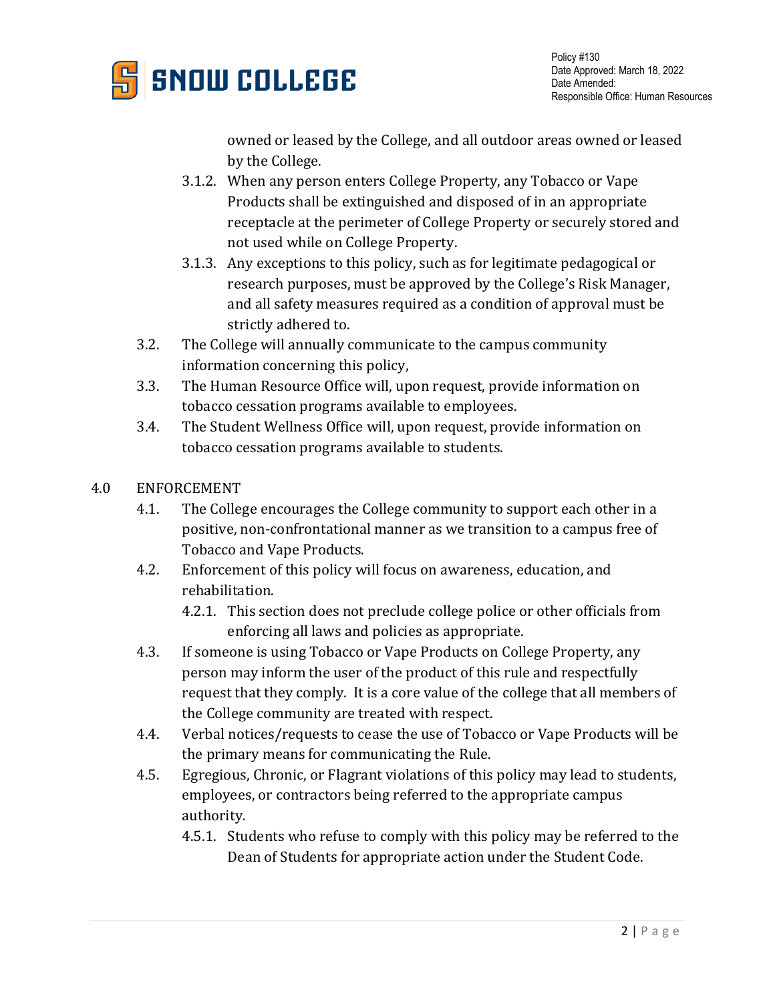

owned or leased by the College, and all outdoor areas owned or leased by the College.

- 3.1.2. When any person enters College Property, any Tobacco or Vape Products shall be extinguished and disposed of in an appropriate receptacle at the perimeter of College Property or securely stored and not used while on College Property.
- 3.1.3. Any exceptions to this policy, such as for legitimate pedagogical or research purposes, must be approved by the College's Risk Manager, and all safety measures required as a condition of approval must be strictly adhered to.
- 3.2. The College will annually communicate to the campus community information concerning this policy,
- 3.3. The Human Resource Office will, upon request, provide information on tobacco cessation programs available to employees.
- 3.4. The Student Wellness Office will, upon request, provide information on tobacco cessation programs available to students.
- 4.0 ENFORCEMENT
	- 4.1. The College encourages the College community to support each other in a positive, non-confrontational manner as we transition to a campus free of Tobacco and Vape Products.
	- 4.2. Enforcement of this policy will focus on awareness, education, and rehabilitation.
		- 4.2.1. This section does not preclude college police or other officials from enforcing all laws and policies as appropriate.
	- 4.3. If someone is using Tobacco or Vape Products on College Property, any person may inform the user of the product of this rule and respectfully request that they comply. It is a core value of the college that all members of the College community are treated with respect.
	- 4.4. Verbal notices/requests to cease the use of Tobacco or Vape Products will be the primary means for communicating the Rule.
	- 4.5. Egregious, Chronic, or Flagrant violations of this policy may lead to students, employees, or contractors being referred to the appropriate campus authority.
		- 4.5.1. Students who refuse to comply with this policy may be referred to the Dean of Students for appropriate action under the Student Code.